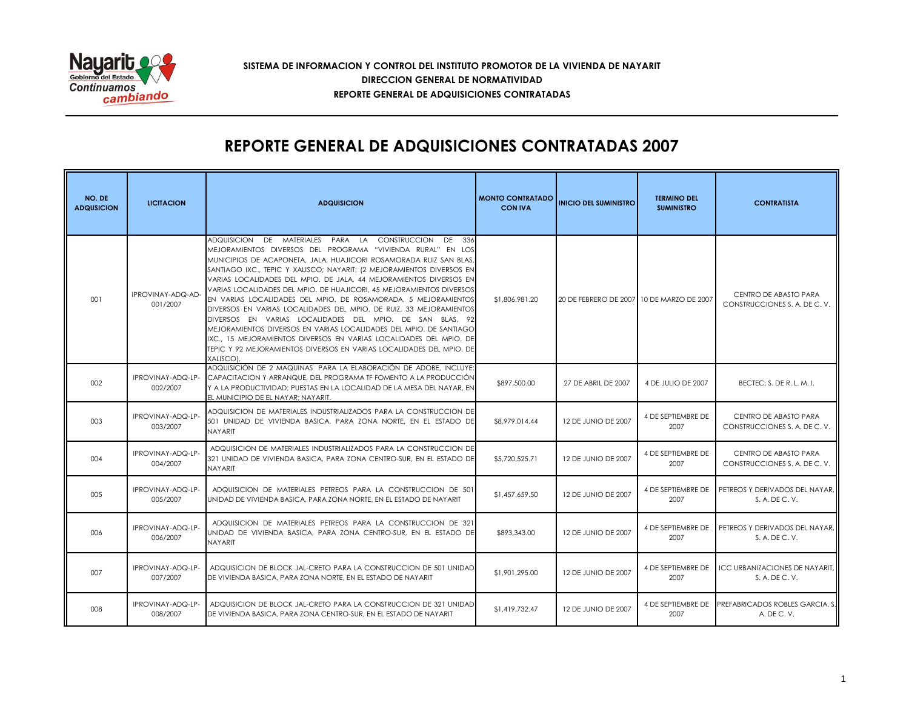

### **SISTEMA DE INFORMACION Y CONTROL DEL INSTITUTO PROMOTOR DE LA VIVIENDA DE NAYARIT REPORTE GENERAL DE ADQUISICIONES CONTRATADAS DIRECCION GENERAL DE NORMATIVIDAD**

## **REPORTE GENERAL DE ADQUISICIONES CONTRATADAS 2007**

| NO. DE<br><b>ADQUSICION</b> | <b>LICITACION</b>             | <b>ADQUISICION</b>                                                                                                                                                                                                                                                                                                                                                                                                                                                                                                                                                                                                                                                                                                                                                                                                                                               | <b>MONTO CONTRATADO</b><br><b>CON IVA</b> | <b>INICIO DEL SUMINISTRO</b>                | <b>TERMINO DEL</b><br><b>SUMINISTRO</b> | <b>CONTRATISTA</b>                                      |
|-----------------------------|-------------------------------|------------------------------------------------------------------------------------------------------------------------------------------------------------------------------------------------------------------------------------------------------------------------------------------------------------------------------------------------------------------------------------------------------------------------------------------------------------------------------------------------------------------------------------------------------------------------------------------------------------------------------------------------------------------------------------------------------------------------------------------------------------------------------------------------------------------------------------------------------------------|-------------------------------------------|---------------------------------------------|-----------------------------------------|---------------------------------------------------------|
| 001                         | IPROVINAY-ADQ-AD-<br>001/2007 | ADQUISICION DE MATERIALES<br>PARA LA CONSTRUCCION<br>DF<br>- 336<br>MEJORAMIENTOS DIVERSOS DEL PROGRAMA "VIVIENDA RURAL" EN LOS<br>MUNICIPIOS DE ACAPONETA, JALA, HUAJICORI ROSAMORADA RUIZ SAN BLAS,<br>SANTIAGO IXC., TEPIC Y XALISCO; NAYARIT; (2 MEJORAMIENTOS DIVERSOS EN<br>VARIAS LOCALIDADES DEL MPIO. DE JALA, 44 MEJORAMIENTOS DIVERSOS EN<br>VARIAS LOCALIDADES DEL MPIO. DE HUAJICORI, 45 MEJORAMIENTOS DIVERSOS<br>EN VARIAS LOCALIDADES DEL MPIO. DE ROSAMORADA, 5 MEJORAMIENTOS<br>DIVERSOS EN VARIAS LOCALIDADES DEL MPIO. DE RUIZ, 33 MEJORAMIENTOS<br>DIVERSOS EN VARIAS LOCALIDADES DEL MPIO. DE SAN BLAS, 92<br>MEJORAMIENTOS DIVERSOS EN VARIAS LOCALIDADES DEL MPIO. DE SANTIAGO<br>IXC., 15 MEJORAMIENTOS DIVERSOS EN VARIAS LOCALIDADES DEL MPIO, DE<br>TEPIC Y 92 MEJORAMIENTOS DIVERSOS EN VARIAS LOCALIDADES DEL MPIO. DE<br>XALISCOL | \$1,806,981.20                            | 20 DE FEBRERO DE 2007   10 DE MARZO DE 2007 |                                         | CENTRO DE ABASTO PARA<br>CONSTRUCCIONES S. A. DE C. V.  |
| 002                         | IPROVINAY-ADQ-LP-<br>002/2007 | ADQUISICIÓN DE 2 MAQUINAS PARA LA ELABORACIÓN DE ADOBE, INCLUYE:<br>CAPACITACION Y ARRANQUE. DEL PROGRAMA TF FOMENTO A LA PRODUCCIÓN<br>Y A LA PRODUCTIVIDAD: PUESTAS EN LA LOCALIDAD DE LA MESA DEL NAYAR, EN<br>EL MUNICIPIO DE EL NAYAR: NAYARIT.                                                                                                                                                                                                                                                                                                                                                                                                                                                                                                                                                                                                             | \$897,500.00                              | 27 DE ABRIL DE 2007                         | 4 DE JULIO DE 2007                      | BECTEC; S. DE R. L. M. I.                               |
| 003                         | IPROVINAY-ADQ-LP-<br>003/2007 | adquisicion de materiales industrializados para la construccion del<br>501 UNIDAD DE VIVIENDA BASICA, PARA ZONA NORTE, EN EL ESTADO DE<br><b>NAYARIT</b>                                                                                                                                                                                                                                                                                                                                                                                                                                                                                                                                                                                                                                                                                                         | \$8,979,014.44                            | 12 DE JUNIO DE 2007                         | 4 DE SEPTIEMBRE DE<br>2007              | CENTRO DE ABASTO PARA<br>CONSTRUCCIONES S. A. DE C. V.  |
| 004                         | IPROVINAY-ADQ-LP-<br>004/2007 | ADQUISICION DE MATERIALES INDUSTRIALIZADOS PARA LA CONSTRUCCION DE<br>321 UNIDAD DE VIVIENDA BASICA, PARA ZONA CENTRO-SUR, EN EL ESTADO DE<br><b>NAYARIT</b>                                                                                                                                                                                                                                                                                                                                                                                                                                                                                                                                                                                                                                                                                                     | \$5,720,525.71                            | 12 DE JUNIO DE 2007                         | 4 DE SEPTIEMBRE DE<br>2007              | CENTRO DE ABASTO PARA<br>CONSTRUCCIONES S. A. DE C. V.  |
| 005                         | IPROVINAY-ADQ-LP-<br>005/2007 | ADQUISICION DE MATERIALES PETREOS PARA LA CONSTRUCCION DE 501<br>UNIDAD DE VIVIENDA BASICA, PARA ZONA NORTE, EN EL ESTADO DE NAYARIT                                                                                                                                                                                                                                                                                                                                                                                                                                                                                                                                                                                                                                                                                                                             | \$1,457,659.50                            | 12 DE JUNIO DE 2007                         | 4 DE SEPTIEMBRE DE<br>2007              | PETREOS Y DERIVADOS DEL NAYAR,<br>S. A. DE C. V.        |
| 006                         | IPROVINAY-ADQ-LP-<br>006/2007 | ADQUISICION DE MATERIALES PETREOS PARA LA CONSTRUCCION DE 321<br>UNIDAD DE VIVIENDA BASICA, PARA ZONA CENTRO-SUR, EN EL ESTADO DE<br>NAYARIT                                                                                                                                                                                                                                                                                                                                                                                                                                                                                                                                                                                                                                                                                                                     | \$893,343.00                              | 12 DE JUNIO DE 2007                         | 4 DE SEPTIEMBRE DE<br>2007              | PETREOS Y DERIVADOS DEL NAYAR.<br>S. A. DE C. V.        |
| 007                         | IPROVINAY-ADQ-LP-<br>007/2007 | ADQUISICION DE BLOCK JAL-CRETO PARA LA CONSTRUCCION DE 501 UNIDAD<br>DE VIVIENDA BASICA, PARA ZONA NORTE, EN EL ESTADO DE NAYARIT                                                                                                                                                                                                                                                                                                                                                                                                                                                                                                                                                                                                                                                                                                                                | \$1,901,295.00                            | 12 DE JUNIO DE 2007                         | 4 DE SEPTIEMBRE DE<br>2007              | <b>ICC URBANIZACIONES DE NAYARIT.</b><br>S. A. DE C. V. |
| 008                         | IPROVINAY-ADQ-LP-<br>008/2007 | ADQUISICION DE BLOCK JAL-CRETO PARA LA CONSTRUCCION DE 321 UNIDAD<br>DE VIVIENDA BASICA, PARA ZONA CENTRO-SUR, EN EL ESTADO DE NAYARIT                                                                                                                                                                                                                                                                                                                                                                                                                                                                                                                                                                                                                                                                                                                           | \$1,419,732.47                            | 12 DE JUNIO DE 2007                         | 4 DE SEPTIEMBRE DE<br>2007              | PREFABRICADOS ROBLES GARCIA, S.<br>A. DE C. V.          |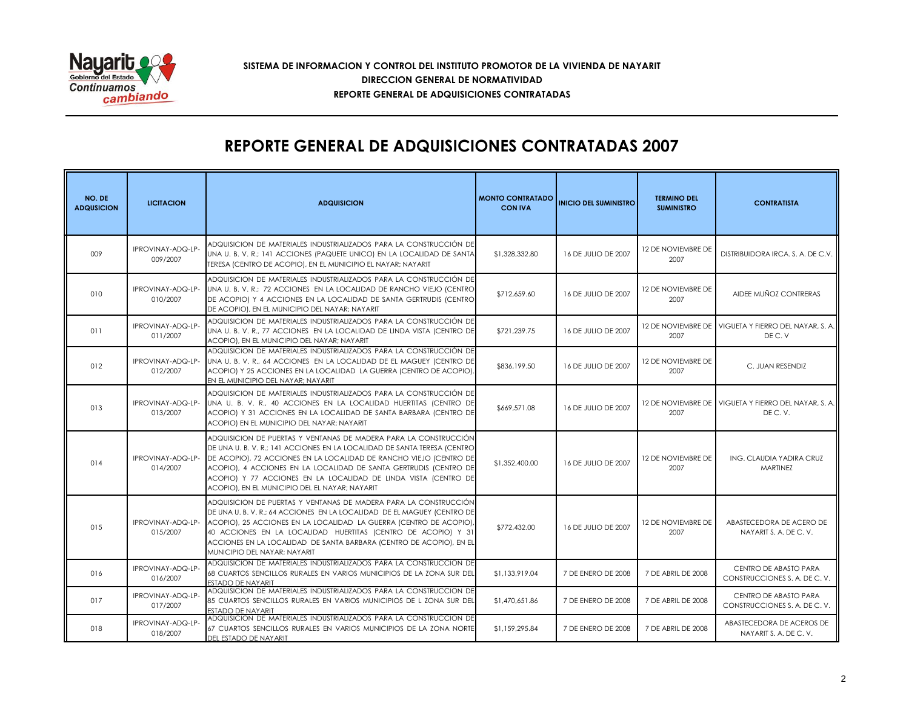

### **SISTEMA DE INFORMACION Y CONTROL DEL INSTITUTO PROMOTOR DE LA VIVIENDA DE NAYARIT REPORTE GENERAL DE ADQUISICIONES CONTRATADAS DIRECCION GENERAL DE NORMATIVIDAD**

# **REPORTE GENERAL DE ADQUISICIONES CONTRATADAS 2007**

| NO. DE<br><b>ADQUSICION</b> | <b>LICITACION</b>             | <b>ADQUISICION</b>                                                                                                                                                                                                                                                                                                                                                                                        | <b>MONTO CONTRATADO</b><br><b>CON IVA</b> | <b>INICIO DEL SUMINISTRO</b> | <b>TERMINO DEL</b><br><b>SUMINISTRO</b> | <b>CONTRATISTA</b>                                             |
|-----------------------------|-------------------------------|-----------------------------------------------------------------------------------------------------------------------------------------------------------------------------------------------------------------------------------------------------------------------------------------------------------------------------------------------------------------------------------------------------------|-------------------------------------------|------------------------------|-----------------------------------------|----------------------------------------------------------------|
| 009                         | IPROVINAY-ADQ-LP-<br>009/2007 | ADQUISICION DE MATERIALES INDUSTRIALIZADOS PARA LA CONSTRUCCIÓN DE<br>UNA U. B. V. R.; 141 ACCIONES (PAQUETE UNICO) EN LA LOCALIDAD DE SANTA<br>TERESA (CENTRO DE ACOPIO), EN EL MUNICIPIO EL NAYAR; NAYARIT                                                                                                                                                                                              | \$1,328,332.80                            | 16 DE JULIO DE 2007          | 12 DE NOVIEMBRE DE<br>2007              | DISTRIBUIDORA IRCA. S. A. DE C.V.                              |
| 010                         | IPROVINAY-ADQ-LP-<br>010/2007 | ADQUISICION DE MATERIALES INDUSTRIALIZADOS PARA LA CONSTRUCCIÓN DE<br>UNA U. B. V. R.; 72 ACCIONES EN LA LOCALIDAD DE RANCHO VIEJO (CENTRO<br>DE ACOPIO) Y 4 ACCIONES EN LA LOCALIDAD DE SANTA GERTRUDIS (CENTRO<br>DE ACOPIO), EN EL MUNICIPIO DEL NAYAR; NAYARIT                                                                                                                                        | \$712,659.60                              | 16 DE JULIO DE 2007          | 12 DE NOVIEMBRE DE<br>2007              | AIDEE MUÑOZ CONTRERAS                                          |
| 011                         | IPROVINAY-ADQ-LP-<br>011/2007 | ADQUISICION DE MATERIALES INDUSTRIALIZADOS PARA LA CONSTRUCCIÓN DE<br>UNA U. B. V. R., 77 ACCIONES EN LA LOCALIDAD DE LINDA VISTA (CENTRO DE<br>ACOPIO), EN EL MUNICIPIO DEL NAYAR; NAYARIT                                                                                                                                                                                                               | \$721,239.75                              | 16 DE JULIO DE 2007          | 2007                                    | 12 DE NOVIEMBRE DE VIGUETA Y FIERRO DEL NAYAR, S. A.<br>DEC.V  |
| 012                         | IPROVINAY-ADQ-LP-<br>012/2007 | ADQUISICION DE MATERIALES INDUSTRIALIZADOS PARA LA CONSTRUCCIÓN DE<br>UNA U. B. V. R., 64 ACCIONES EN LA LOCALIDAD DE EL MAGUEY (CENTRO DE<br>ACOPIO) Y 25 ACCIONES EN LA LOCALIDAD LA GUERRA (CENTRO DE ACOPIO).<br>EN EL MUNICIPIO DEL NAYAR: NAYARIT                                                                                                                                                   | \$836,199.50                              | 16 DE JULIO DE 2007          | 12 DE NOVIEMBRE DE<br>2007              | C. JUAN RESENDIZ                                               |
| 013                         | IPROVINAY-ADQ-LP-<br>013/2007 | ADQUISICION DE MATERIALES INDUSTRIALIZADOS PARA LA CONSTRUCCIÓN DE<br>UNA U. B. V. R., 40 ACCIONES EN LA LOCALIDAD HUERTITAS (CENTRO DE<br>ACOPIO) Y 31 ACCIONES EN LA LOCALIDAD DE SANTA BARBARA (CENTRO DE<br>ACOPIO) EN EL MUNICIPIO DEL NAYAR; NAYARIT                                                                                                                                                | \$669,571.08                              | 16 DE JULIO DE 2007          | 2007                                    | 12 DE NOVIEMBRE DE VIGUETA Y FIERRO DEL NAYAR, S. A.<br>DEC.V. |
| 014                         | IPROVINAY-ADQ-LP-<br>014/2007 | ADQUISICION DE PUERTAS Y VENTANAS DE MADERA PARA LA CONSTRUCCIÓN<br>DE UNA U.B.V.R.; 141 ACCIONES EN LA LOCALIDAD DE SANTA TERESA (CENTRO<br>DE ACOPIO), 72 ACCIONES EN LA LOCALIDAD DE RANCHO VIEJO (CENTRO DE<br>ACOPIO), 4 ACCIONES EN LA LOCALIDAD DE SANTA GERTRUDIS (CENTRO DE<br>ACOPIO) Y 77 ACCIONES EN LA LOCALIDAD DE LINDA VISTA (CENTRO DE<br>ACOPIO), EN EL MUNICIPIO DEL EL NAYAR; NAYARIT | \$1,352,400.00                            | 16 DE JULIO DE 2007          | 12 DE NOVIEMBRE DE<br>2007              | ING. CLAUDIA YADIRA CRUZ<br><b>MARTINEZ</b>                    |
| 015                         | IPROVINAY-ADQ-LP-<br>015/2007 | ADQUISICION DE PUERTAS Y VENTANAS DE MADERA PARA LA CONSTRUCCIÓN<br>DE UNA U. B. V. R.; 64 ACCIONES EN LA LOCALIDAD DE EL MAGUEY (CENTRO DE<br>ACOPIO), 25 ACCIONES EN LA LOCALIDAD LA GUERRA (CENTRO DE ACOPIO),<br>40 ACCIONES EN LA LOCALIDAD HUERTITAS (CENTRO DE ACOPIO) Y 31<br>ACCIONES EN LA LOCALIDAD DE SANTA BARBARA (CENTRO DE ACOPIO), EN EL<br>MUNICIPIO DEL NAYAR; NAYARIT                 | \$772,432.00                              | 16 DE JULIO DE 2007          | 12 DE NOVIEMBRE DE<br>2007              | ABASTECEDORA DE ACERO DE<br>NAYARITS. A. DE C. V.              |
| 016                         | IPROVINAY-ADQ-LP-<br>016/2007 | ADQUISICION DE MATERIALES INDUSTRIALIZADOS PARA LA CONSTRUCCION DE<br>68 CUARTOS SENCILLOS RURALES EN VARIOS MUNICIPIOS DE LA ZONA SUR DEL<br><b>FSTADO DE NAYARIT</b>                                                                                                                                                                                                                                    | \$1,133,919.04                            | 7 DE ENERO DE 2008           | 7 DE ABRIL DE 2008                      | CENTRO DE ABASTO PARA<br>CONSTRUCCIONES S. A. DE C. V.         |
| 017                         | IPROVINAY-ADQ-LP-<br>017/2007 | ADQUISICION DE MATERIALES INDUSTRIALIZADOS PARA LA CONSTRUCCION DE<br>85 CUARTOS SENCILLOS RURALES EN VARIOS MUNICIPIOS DE L ZONA SUR DEL<br><b>ESTADO DE NAYARIT</b>                                                                                                                                                                                                                                     | \$1,470,651.86                            | 7 DE ENERO DE 2008           | 7 DE ABRIL DE 2008                      | CENTRO DE ABASTO PARA<br>CONSTRUCCIONES S. A. DE C. V.         |
| 018                         | IPROVINAY-ADQ-LP-<br>018/2007 | ADQUISICION DE MATERIALES INDUSTRIALIZADOS PARA LA CONSTRUCCION DE<br>67 CUARTOS SENCILLOS RURALES EN VARIOS MUNICIPIOS DE LA ZONA NORTE<br>DEL ESTADO DE NAYARIT                                                                                                                                                                                                                                         | \$1,159,295.84                            | 7 DE ENERO DE 2008           | 7 DE ABRIL DE 2008                      | ABASTECEDORA DE ACEROS DE<br>NAYARITS. A. DE C. V.             |